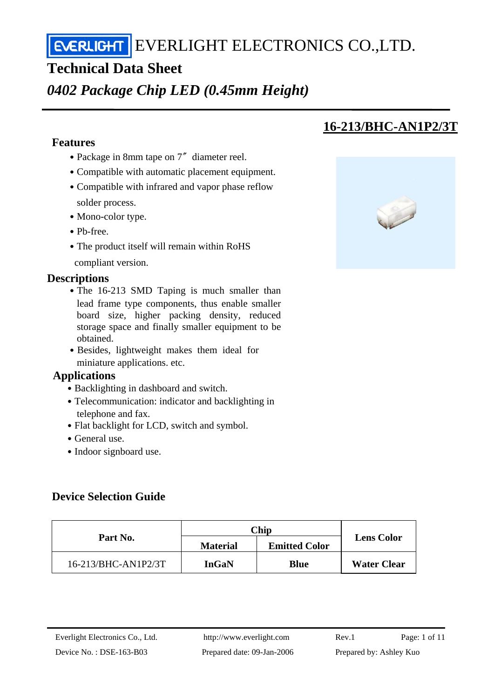EVERLIGHT ELECTRONICS CO., LTD.

## **Technical Data Sheet**

## *0402 Package Chip LED (0.45mm Height)*

### **Features**

- Package in 8mm tape on 7<sup>″</sup> diameter reel.
- ․Compatible with automatic placement equipment.
- Compatible with infrared and vapor phase reflow solder process.
- Mono-color type.
- ․Pb-free.
- The product itself will remain within RoHS compliant version.

### **Descriptions**

- The 16-213 SMD Taping is much smaller than lead frame type components, thus enable smaller board size, higher packing density, reduced storage space and finally smaller equipment to be obtained.
- Besides, lightweight makes them ideal for miniature applications. etc.

### **Applications**

- Backlighting in dashboard and switch.
- Telecommunication: indicator and backlighting in telephone and fax.
- Flat backlight for LCD, switch and symbol.
- General use.
- Indoor signboard use.

### **Device Selection Guide**

|                     | $\mathbb C$ hip |                      |                    |  |
|---------------------|-----------------|----------------------|--------------------|--|
| Part No.            | <b>Material</b> | <b>Emitted Color</b> | <b>Lens Color</b>  |  |
| 16-213/BHC-AN1P2/3T | <b>InGaN</b>    | <b>Blue</b>          | <b>Water Clear</b> |  |

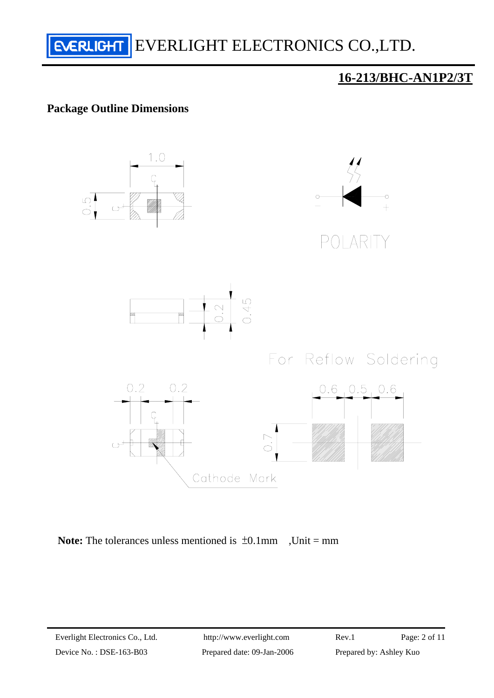

### **Package Outline Dimensions**



Note: The tolerances unless mentioned is  $\pm 0.1$ mm ,Unit = mm

Device No.: DSE-163-B03 Prepared date: 09-Jan-2006 Prepared by: Ashley Kuo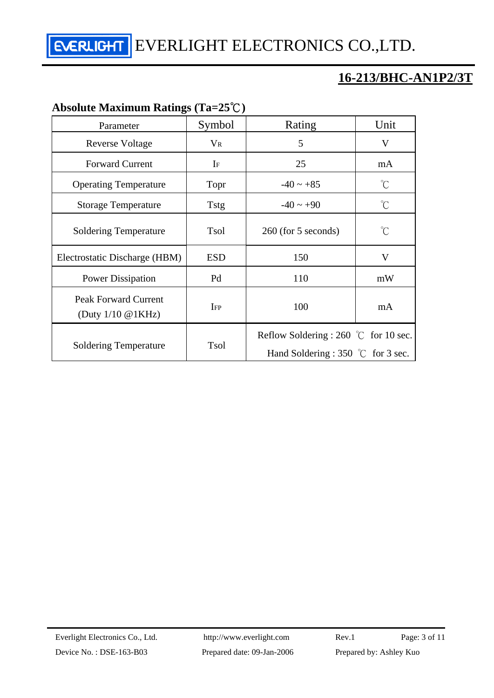EVERLIGHT ELECTRONICS CO., LTD.

## **16-213/BHC-AN1P2/3T**

## **Absolute Maximum Ratings (Ta=25**℃**)**

| Parameter                                                     | Symbol      | Rating                                                                                        | Unit         |
|---------------------------------------------------------------|-------------|-----------------------------------------------------------------------------------------------|--------------|
| <b>Reverse Voltage</b>                                        | $\rm V_R$   | 5                                                                                             | V            |
| <b>Forward Current</b>                                        | $I_F$       | 25                                                                                            | mA           |
| <b>Operating Temperature</b>                                  | Topr        | $-40 \sim +85$                                                                                | $^{\circ}$ C |
| <b>Storage Temperature</b>                                    | <b>Tstg</b> | $-40 \sim +90$                                                                                | $^{\circ}C$  |
| <b>Soldering Temperature</b>                                  | <b>Tsol</b> | 260 (for 5 seconds)                                                                           | $^{\circ}$ C |
| Electrostatic Discharge (HBM)                                 | <b>ESD</b>  | 150                                                                                           | V            |
| <b>Power Dissipation</b>                                      | Pd          | 110                                                                                           | mW           |
| <b>Peak Forward Current</b><br>(Duty $1/10 \text{ @ } 1KHz$ ) | IFP         | 100                                                                                           | mA           |
| <b>Soldering Temperature</b>                                  | <b>Tsol</b> | Reflow Soldering : 260 $\degree$ C for 10 sec.<br>Hand Soldering : 350 $\degree$ C for 3 sec. |              |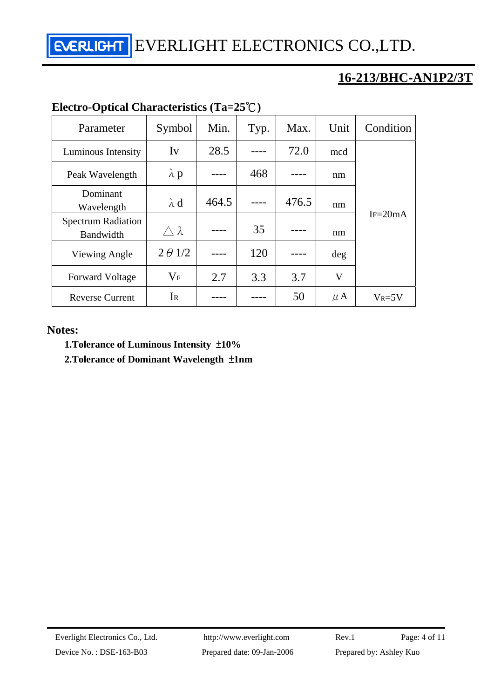EVERLIGHT ELECTRONICS CO.,LTD.

## **16-213/BHC-AN1P2/3T**

| $E$ ectro-Optical Characteristics (1a=25 $\cup$ ) |                     |       |      |       |             |             |  |
|---------------------------------------------------|---------------------|-------|------|-------|-------------|-------------|--|
| Parameter                                         | Symbol              | Min.  | Typ. | Max.  | Unit        | Condition   |  |
| Luminous Intensity                                | Iv                  | 28.5  |      | 72.0  | mcd         |             |  |
| Peak Wavelength                                   | $\lambda$ p         |       | 468  |       | nm          |             |  |
| Dominant<br>Wavelength                            | $\lambda$ d         | 464.5 |      | 476.5 | nm          |             |  |
| <b>Spectrum Radiation</b><br>Bandwidth            | $\triangle \lambda$ |       | 35   |       | nm          | $IF = 20mA$ |  |
| Viewing Angle                                     | $2 \theta$ 1/2      |       | 120  |       | deg         |             |  |
| <b>Forward Voltage</b>                            | $\rm V_F$           | 2.7   | 3.3  | 3.7   | $\mathbf V$ |             |  |
| <b>Reverse Current</b>                            | Ir                  |       |      | 50    | $\mu$ A     | $V_R = 5V$  |  |

## **Electro-Optical Characteristics (Ta=25**℃**)**

### **Notes:**

 **1.Tolerance of Luminous Intensity** ±**10%** 

 **2.Tolerance of Dominant Wavelength** ±**1nm**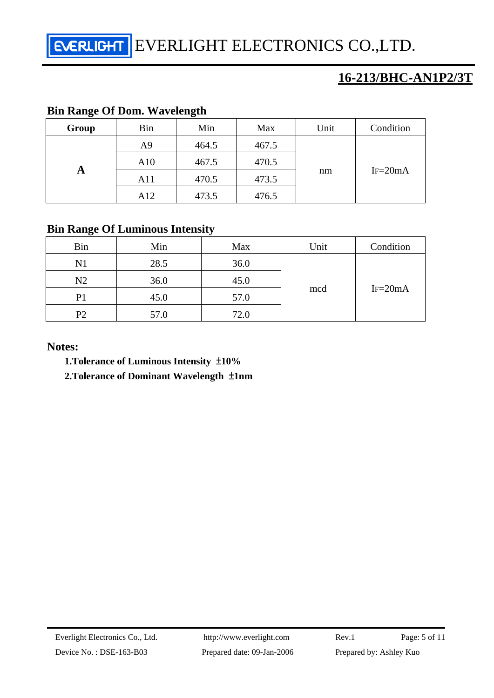EVERLIGHT ELECTRONICS CO.,LTD.

## **16-213/BHC-AN1P2/3T**

### **Bin Range Of Dom. Wavelength**

| Group | Bin | Min   | Max   | Unit | Condition   |
|-------|-----|-------|-------|------|-------------|
| A     | A9  | 464.5 | 467.5 |      | $IF = 20mA$ |
|       | A10 | 467.5 | 470.5 | nm   |             |
|       | A11 | 470.5 | 473.5 |      |             |
|       | A12 | 473.5 | 476.5 |      |             |

## **Bin Range Of Luminous Intensity**

| <b>Bin</b>     | Min  | Max  | Unit | Condition   |  |
|----------------|------|------|------|-------------|--|
| N1             | 28.5 | 36.0 |      |             |  |
| N2             | 36.0 | 45.0 |      | $IF = 20mA$ |  |
| P1             | 45.0 | 57.0 | mcd  |             |  |
| P <sub>2</sub> | 57.0 | 72.0 |      |             |  |

**Notes:** 

 **1.Tolerance of Luminous Intensity** ±**10%** 

 **2.Tolerance of Dominant Wavelength** ±**1nm**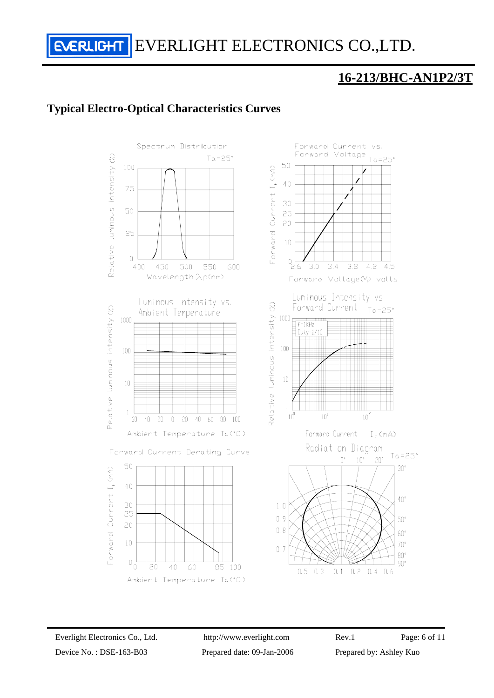EVERLIGHT ELECTRONICS CO.,LTD.

## **16-213/BHC-AN1P2/3T**

### **Typical Electro-Optical Characteristics Curves**

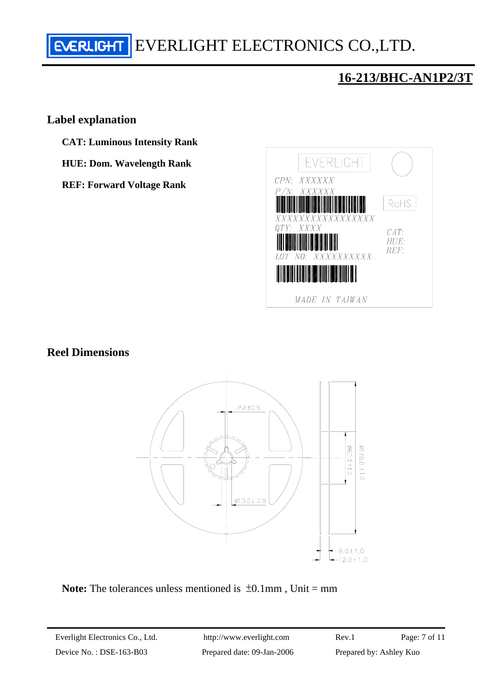# EVERLIGHT ELECTRONICS CO., LTD.

## **16-213/BHC-AN1P2/3T**

### **Label explanation**

- **CAT: Luminous Intensity Rank**
- **HUE: Dom. Wavelength Rank**
- **REF: Forward Voltage Rank**



### **Reel Dimensions**



**Note:** The tolerances unless mentioned is  $\pm 0.1$  mm, Unit = mm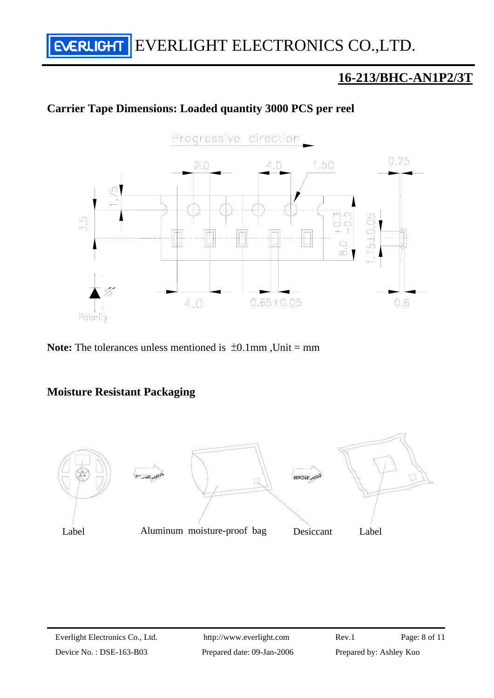# **EVERLIGHT** EVERLIGHT ELECTRONICS CO., LTD.

## **16-213/BHC-AN1P2/3T**

### **Carrier Tape Dimensions: Loaded quantity 3000 PCS per reel**



**Note:** The tolerances unless mentioned is  $\pm 0.1$ mm, Unit = mm

### **Moisture Resistant Packaging**

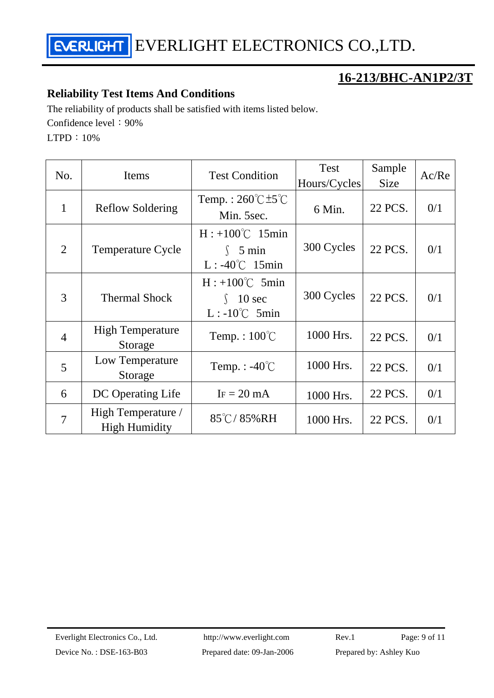

### **Reliability Test Items And Conditions**

The reliability of products shall be satisfied with items listed below. Confidence level: 90%

LTPD:10%

| No.            | Items                                      | <b>Test Condition</b>                                                 | <b>Test</b><br>Hours/Cycles | Sample<br><b>Size</b> | Ac/Re |
|----------------|--------------------------------------------|-----------------------------------------------------------------------|-----------------------------|-----------------------|-------|
| $\mathbf{1}$   | <b>Reflow Soldering</b>                    | Temp.: $260^{\circ}$ C $\pm 5^{\circ}$ C<br>Min. 5sec.                | 6 Min.                      | 22 PCS.               | 0/1   |
| $\overline{2}$ | <b>Temperature Cycle</b>                   | $H: +100^{\circ}C$ 15min<br>$\int$ 5 min<br>$L: -40^{\circ}C$ 15min   | 300 Cycles                  | 22 PCS.               | 0/1   |
| 3              | <b>Thermal Shock</b>                       | $H: +100^{\circ}C$ 5min<br>$10 \text{ sec}$<br>$L: -10^{\circ}C$ 5min | 300 Cycles                  | 22 PCS.               | 0/1   |
| $\overline{4}$ | <b>High Temperature</b><br>Storage         | Temp.: $100^{\circ}$ C                                                | 1000 Hrs.                   | 22 PCS.               | 0/1   |
| 5              | Low Temperature<br>Storage                 | Temp. : $-40^{\circ}$ C                                               | 1000 Hrs.                   | 22 PCS.               | 0/1   |
| 6              | DC Operating Life                          | $IF = 20 mA$                                                          | 1000 Hrs.                   | 22 PCS.               | 0/1   |
| $\overline{7}$ | High Temperature /<br><b>High Humidity</b> | $85^{\circ}$ C/85%RH                                                  | 1000 Hrs.                   | 22 PCS.               | 0/1   |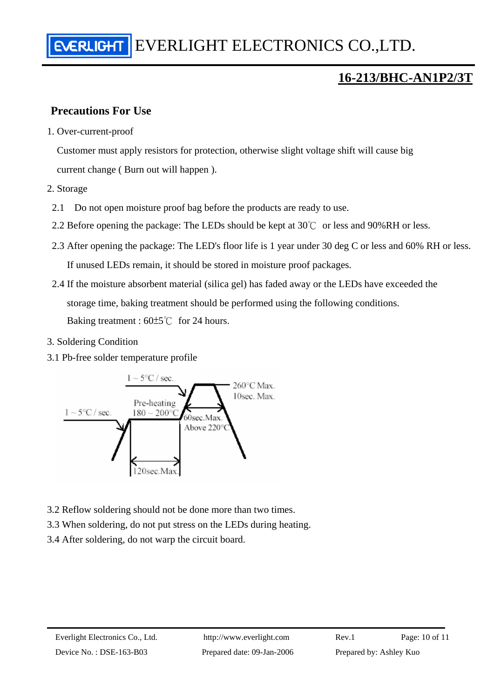## **Precautions For Use**

1. Over-current-proof

Customer must apply resistors for protection, otherwise slight voltage shift will cause big current change ( Burn out will happen ).

- 2. Storage
	- 2.1 Do not open moisture proof bag before the products are ready to use.
- 2.2 Before opening the package: The LEDs should be kept at  $30^{\circ}$  or less and 90%RH or less.
- 2.3 After opening the package: The LED's floor life is 1 year under 30 deg C or less and 60% RH or less. If unused LEDs remain, it should be stored in moisture proof packages.
- 2.4 If the moisture absorbent material (silica gel) has faded away or the LEDs have exceeded the storage time, baking treatment should be performed using the following conditions. Baking treatment : 60±5℃ for 24 hours.
- 3. Soldering Condition
- 3.1 Pb-free solder temperature profile



- 3.2 Reflow soldering should not be done more than two times.
- 3.3 When soldering, do not put stress on the LEDs during heating.
- 3.4 After soldering, do not warp the circuit board.